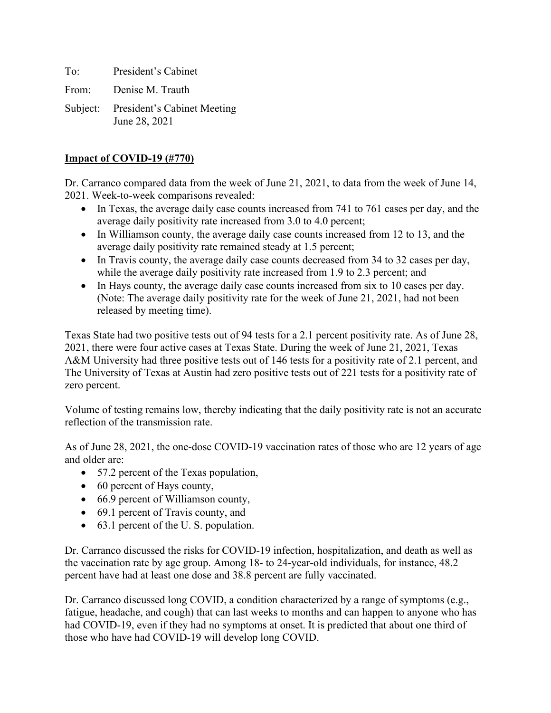To: President's Cabinet

From: Denise M. Trauth

Subject: President's Cabinet Meeting June 28, 2021

#### **Impact of COVID-19 (#770)**

Dr. Carranco compared data from the week of June 21, 2021, to data from the week of June 14, 2021. Week-to-week comparisons revealed:

- In Texas, the average daily case counts increased from 741 to 761 cases per day, and the average daily positivity rate increased from 3.0 to 4.0 percent;
- In Williamson county, the average daily case counts increased from 12 to 13, and the average daily positivity rate remained steady at 1.5 percent;
- In Travis county, the average daily case counts decreased from 34 to 32 cases per day, while the average daily positivity rate increased from 1.9 to 2.3 percent; and
- In Hays county, the average daily case counts increased from six to 10 cases per day. (Note: The average daily positivity rate for the week of June 21, 2021, had not been released by meeting time).

Texas State had two positive tests out of 94 tests for a 2.1 percent positivity rate. As of June 28, 2021, there were four active cases at Texas State. During the week of June 21, 2021, Texas A&M University had three positive tests out of 146 tests for a positivity rate of 2.1 percent, and The University of Texas at Austin had zero positive tests out of 221 tests for a positivity rate of zero percent.

Volume of testing remains low, thereby indicating that the daily positivity rate is not an accurate reflection of the transmission rate.

As of June 28, 2021, the one-dose COVID-19 vaccination rates of those who are 12 years of age and older are:

- 57.2 percent of the Texas population,
- 60 percent of Hays county,
- 66.9 percent of Williamson county,
- 69.1 percent of Travis county, and
- 63.1 percent of the U.S. population.

Dr. Carranco discussed the risks for COVID-19 infection, hospitalization, and death as well as the vaccination rate by age group. Among 18- to 24-year-old individuals, for instance, 48.2 percent have had at least one dose and 38.8 percent are fully vaccinated.

Dr. Carranco discussed long COVID, a condition characterized by a range of symptoms (e.g., fatigue, headache, and cough) that can last weeks to months and can happen to anyone who has had COVID-19, even if they had no symptoms at onset. It is predicted that about one third of those who have had COVID-19 will develop long COVID.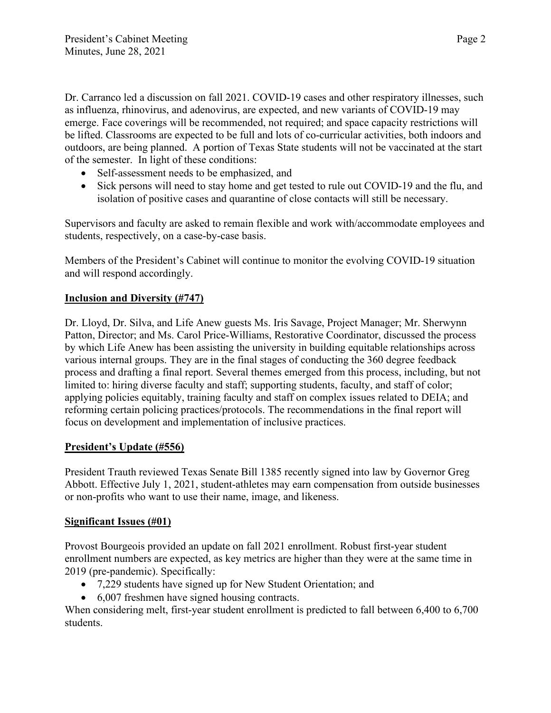Dr. Carranco led a discussion on fall 2021. COVID-19 cases and other respiratory illnesses, such as influenza, rhinovirus, and adenovirus, are expected, and new variants of COVID-19 may emerge. Face coverings will be recommended, not required; and space capacity restrictions will be lifted. Classrooms are expected to be full and lots of co-curricular activities, both indoors and outdoors, are being planned. A portion of Texas State students will not be vaccinated at the start of the semester. In light of these conditions:

- Self-assessment needs to be emphasized, and
- Sick persons will need to stay home and get tested to rule out COVID-19 and the flu, and isolation of positive cases and quarantine of close contacts will still be necessary.

Supervisors and faculty are asked to remain flexible and work with/accommodate employees and students, respectively, on a case-by-case basis.

Members of the President's Cabinet will continue to monitor the evolving COVID-19 situation and will respond accordingly.

# **Inclusion and Diversity (#747)**

Dr. Lloyd, Dr. Silva, and Life Anew guests Ms. Iris Savage, Project Manager; Mr. Sherwynn Patton, Director; and Ms. Carol Price-Williams, Restorative Coordinator, discussed the process by which Life Anew has been assisting the university in building equitable relationships across various internal groups. They are in the final stages of conducting the 360 degree feedback process and drafting a final report. Several themes emerged from this process, including, but not limited to: hiring diverse faculty and staff; supporting students, faculty, and staff of color; applying policies equitably, training faculty and staff on complex issues related to DEIA; and reforming certain policing practices/protocols. The recommendations in the final report will focus on development and implementation of inclusive practices.

## **President's Update (#556)**

President Trauth reviewed Texas Senate Bill 1385 recently signed into law by Governor Greg Abbott. Effective July 1, 2021, student-athletes may earn compensation from outside businesses or non-profits who want to use their name, image, and likeness.

## **Significant Issues (#01)**

Provost Bourgeois provided an update on fall 2021 enrollment. Robust first-year student enrollment numbers are expected, as key metrics are higher than they were at the same time in 2019 (pre-pandemic). Specifically:

- 7,229 students have signed up for New Student Orientation; and
- 6,007 freshmen have signed housing contracts.

When considering melt, first-year student enrollment is predicted to fall between 6,400 to 6,700 students.